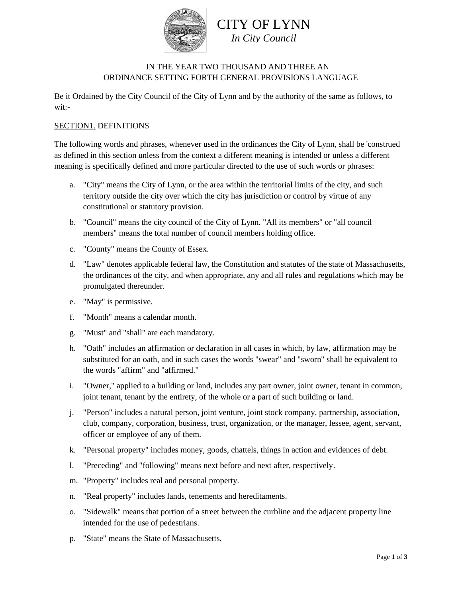

# IN THE YEAR TWO THOUSAND AND THREE AN ORDINANCE SETTING FORTH GENERAL PROVISIONS LANGUAGE

Be it Ordained by the City Council of the City of Lynn and by the authority of the same as follows, to wit:-

## SECTION1. DEFINITIONS

The following words and phrases, whenever used in the ordinances the City of Lynn, shall be 'construed as defined in this section unless from the context a different meaning is intended or unless a different meaning is specifically defined and more particular directed to the use of such words or phrases:

- a. "City" means the City of Lynn, or the area within the territorial limits of the city, and such territory outside the city over which the city has jurisdiction or control by virtue of any constitutional or statutory provision.
- b. "Council" means the city council of the City of Lynn. "All its members" or "all council members" means the total number of council members holding office.
- c. "County" means the County of Essex.
- d. "Law" denotes applicable federal law, the Constitution and statutes of the state of Massachusetts, the ordinances of the city, and when appropriate, any and all rules and regulations which may be promulgated thereunder.
- e. "May" is permissive.
- f. "Month" means a calendar month.
- g. "Must" and "shall" are each mandatory.
- h. "Oath" includes an affirmation or declaration in all cases in which, by law, affirmation may be substituted for an oath, and in such cases the words "swear" and "sworn" shall be equivalent to the words "affirm" and "affirmed."
- i. "Owner," applied to a building or land, includes any part owner, joint owner, tenant in common, joint tenant, tenant by the entirety, of the whole or a part of such building or land.
- j. "Person" includes a natural person, joint venture, joint stock company, partnership, association, club, company, corporation, business, trust, organization, or the manager, lessee, agent, servant, officer or employee of any of them.
- k. "Personal property" includes money, goods, chattels, things in action and evidences of debt.
- l. "Preceding" and "following" means next before and next after, respectively.
- m. "Property" includes real and personal property.
- n. "Real property" includes lands, tenements and hereditaments.
- o. "Sidewalk" means that portion of a street between the curbline and the adjacent property line intended for the use of pedestrians.
- p. "State" means the State of Massachusetts.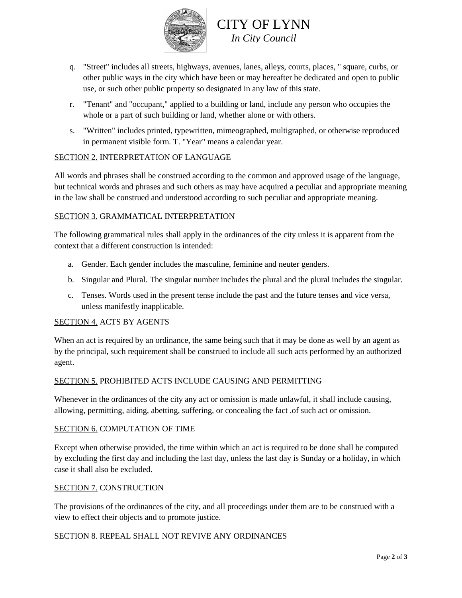

- q. "Street" includes all streets, highways, avenues, lanes, alleys, courts, places, " square, curbs, or other public ways in the city which have been or may hereafter be dedicated and open to public use, or such other public property so designated in any law of this state.
- r. "Tenant" and "occupant," applied to a building or land, include any person who occupies the whole or a part of such building or land, whether alone or with others.
- s. "Written" includes printed, typewritten, mimeographed, multigraphed, or otherwise reproduced in permanent visible form. T. "Year" means a calendar year.

## SECTION 2. INTERPRETATION OF LANGUAGE

All words and phrases shall be construed according to the common and approved usage of the language, but technical words and phrases and such others as may have acquired a peculiar and appropriate meaning in the law shall be construed and understood according to such peculiar and appropriate meaning.

## SECTION 3. GRAMMATICAL INTERPRETATION

The following grammatical rules shall apply in the ordinances of the city unless it is apparent from the context that a different construction is intended:

- a. Gender. Each gender includes the masculine, feminine and neuter genders.
- b. Singular and Plural. The singular number includes the plural and the plural includes the singular.
- c. Tenses. Words used in the present tense include the past and the future tenses and vice versa, unless manifestly inapplicable.

#### SECTION 4. ACTS BY AGENTS

When an act is required by an ordinance, the same being such that it may be done as well by an agent as by the principal, such requirement shall be construed to include all such acts performed by an authorized agent.

# SECTION 5. PROHIBITED ACTS INCLUDE CAUSING AND PERMITTING

Whenever in the ordinances of the city any act or omission is made unlawful, it shall include causing, allowing, permitting, aiding, abetting, suffering, or concealing the fact .of such act or omission.

#### SECTION 6. COMPUTATION OF TIME

Except when otherwise provided, the time within which an act is required to be done shall be computed by excluding the first day and including the last day, unless the last day is Sunday or a holiday, in which case it shall also be excluded.

#### SECTION 7. CONSTRUCTION

The provisions of the ordinances of the city, and all proceedings under them are to be construed with a view to effect their objects and to promote justice.

#### SECTION 8. REPEAL SHALL NOT REVIVE ANY ORDINANCES